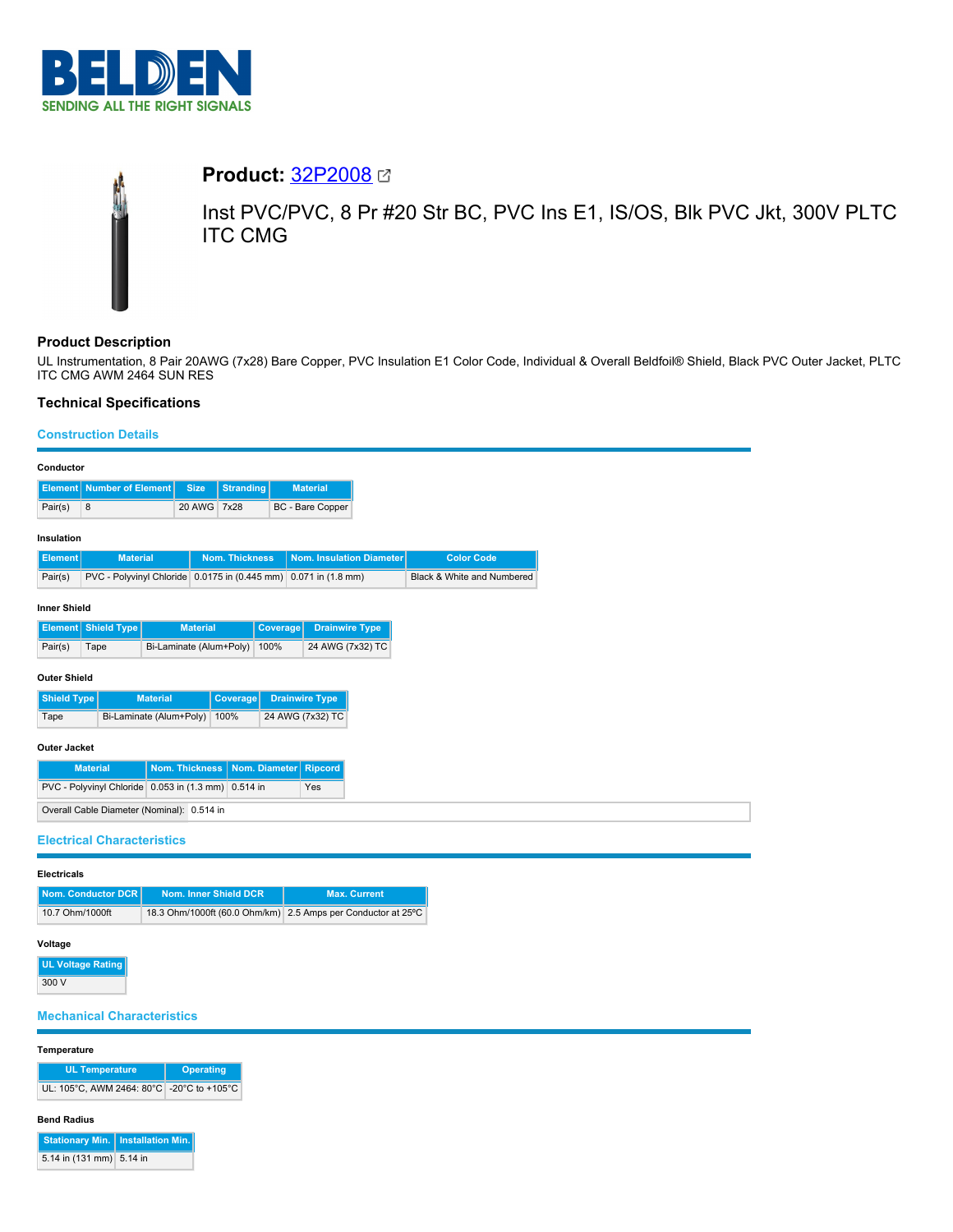

# **Product:** [32P2008](https://catalog.belden.com/index.cfm?event=pd&p=PF_32P2008&tab=downloads)

Inst PVC/PVC, 8 Pr #20 Str BC, PVC Ins E1, IS/OS, Blk PVC Jkt, 300V PLTC ITC CMG

# **Product Description**

UL Instrumentation, 8 Pair 20AWG (7x28) Bare Copper, PVC Insulation E1 Color Code, Individual & Overall Beldfoil® Shield, Black PVC Outer Jacket, PLTC ITC CMG AWM 2464 SUN RES

# **Technical Specifications**

## **Construction Details**

| Conductor                                                                       |                                               |                         |                                     |                       |          |                         |                            |  |                   |  |
|---------------------------------------------------------------------------------|-----------------------------------------------|-------------------------|-------------------------------------|-----------------------|----------|-------------------------|----------------------------|--|-------------------|--|
| <b>Number of Element</b><br><b>Size</b><br><b>Element</b>                       |                                               |                         | <b>Stranding</b><br><b>Material</b> |                       |          |                         |                            |  |                   |  |
| Pair(s)                                                                         | 8                                             |                         | 20 AWG 7x28                         |                       |          | <b>BC</b> - Bare Copper |                            |  |                   |  |
| Insulation                                                                      |                                               |                         |                                     |                       |          |                         |                            |  |                   |  |
| <b>Element</b>                                                                  | <b>Material</b>                               |                         |                                     | <b>Nom. Thickness</b> |          |                         | Nom. Insulation Diameter   |  | <b>Color Code</b> |  |
| Pair(s)                                                                         | PVC - Polyvinyl Chloride 0.0175 in (0.445 mm) |                         |                                     | $0.071$ in $(1.8$ mm) |          |                         | Black & White and Numbered |  |                   |  |
|                                                                                 |                                               |                         |                                     |                       |          |                         |                            |  |                   |  |
| <b>Inner Shield</b>                                                             |                                               |                         |                                     |                       |          |                         |                            |  |                   |  |
| Element                                                                         | <b>Shield Type</b>                            |                         | <b>Material</b>                     |                       | Coverage |                         | <b>Drainwire Type</b>      |  |                   |  |
| Pair(s)                                                                         | Tape                                          | Bi-Laminate (Alum+Poly) |                                     |                       | 100%     |                         | 24 AWG (7x32) TC           |  |                   |  |
| <b>Outer Shield</b>                                                             |                                               |                         |                                     |                       |          |                         |                            |  |                   |  |
| <b>Shield Type</b>                                                              |                                               | <b>Material</b>         |                                     | <b>Coverage</b>       |          | <b>Drainwire Type</b>   |                            |  |                   |  |
| Tape                                                                            |                                               | Bi-Laminate (Alum+Poly) |                                     | 100%                  |          | 24 AWG (7x32) TC        |                            |  |                   |  |
| <b>Outer Jacket</b>                                                             |                                               |                         |                                     |                       |          |                         |                            |  |                   |  |
| <b>Material</b>                                                                 |                                               |                         | Nom. Thickness                      |                       |          | Nom. Diameter Ripcord   |                            |  |                   |  |
| PVC - Polyvinyl Chloride 0.053 in (1.3 mm) 0.514 in                             |                                               |                         |                                     |                       |          | Yes                     |                            |  |                   |  |
|                                                                                 | Overall Cable Diameter (Nominal): 0.514 in    |                         |                                     |                       |          |                         |                            |  |                   |  |
|                                                                                 |                                               |                         |                                     |                       |          |                         |                            |  |                   |  |
| <b>Electrical Characteristics</b>                                               |                                               |                         |                                     |                       |          |                         |                            |  |                   |  |
| <b>Electricals</b>                                                              |                                               |                         |                                     |                       |          |                         |                            |  |                   |  |
| Nom. Inner Shield DCR<br>Nom. Conductor DCR                                     |                                               |                         |                                     | <b>Max. Current</b>   |          |                         |                            |  |                   |  |
| 10.7 Ohm/1000ft<br>18.3 Ohm/1000ft (60.0 Ohm/km) 2.5 Amps per Conductor at 25°C |                                               |                         |                                     |                       |          |                         |                            |  |                   |  |
|                                                                                 |                                               |                         |                                     |                       |          |                         |                            |  |                   |  |

### **Voltage**

**UL Voltage Rating** 300 V

# **Mechanical Characteristics**

## **Temperature**

| <b>UL Temperature</b>                     | <b>Operating</b> |  |  |
|-------------------------------------------|------------------|--|--|
| UL: 105°C. AWM 2464: 80°C -20°C to +105°C |                  |  |  |

#### **Bend Radius**

| Stationary Min.   Installation Min. |  |
|-------------------------------------|--|
| 5.14 in (131 mm) 5.14 in            |  |